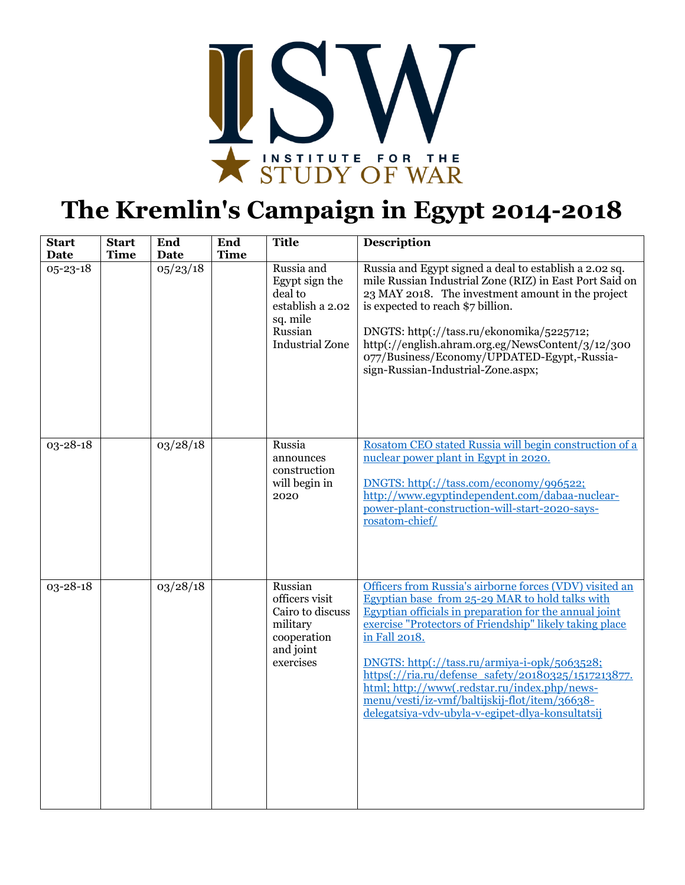

## **The Kremlin's Campaign in Egypt 2014-2018**

| <b>Start</b><br><b>Date</b> | <b>Start</b><br><b>Time</b> | End<br><b>Date</b>    | End<br><b>Time</b> | <b>Title</b>                                                                                                 | <b>Description</b>                                                                                                                                                                                                                                                                                                                                                                                                                                                                                           |
|-----------------------------|-----------------------------|-----------------------|--------------------|--------------------------------------------------------------------------------------------------------------|--------------------------------------------------------------------------------------------------------------------------------------------------------------------------------------------------------------------------------------------------------------------------------------------------------------------------------------------------------------------------------------------------------------------------------------------------------------------------------------------------------------|
| 05-23-18                    |                             | $05/23/\overline{18}$ |                    | Russia and<br>Egypt sign the<br>deal to<br>establish a 2.02<br>sq. mile<br>Russian<br><b>Industrial Zone</b> | Russia and Egypt signed a deal to establish a 2.02 sq.<br>mile Russian Industrial Zone (RIZ) in East Port Said on<br>23 MAY 2018. The investment amount in the project<br>is expected to reach \$7 billion.<br>DNGTS: http(://tass.ru/ekonomika/5225712;<br>http(://english.ahram.org.eg/NewsContent/3/12/300<br>077/Business/Economy/UPDATED-Egypt,-Russia-<br>sign-Russian-Industrial-Zone.aspx;                                                                                                           |
| 03-28-18                    |                             | 03/28/18              |                    | Russia<br>announces<br>construction<br>will begin in<br>2020                                                 | Rosatom CEO stated Russia will begin construction of a<br>nuclear power plant in Egypt in 2020.<br>DNGTS: http(://tass.com/economy/996522;<br>http://www.egyptindependent.com/dabaa-nuclear-<br>power-plant-construction-will-start-2020-says-<br>rosatom-chief/                                                                                                                                                                                                                                             |
| 03-28-18                    |                             | 03/28/18              |                    | Russian<br>officers visit<br>Cairo to discuss<br>military<br>cooperation<br>and joint<br>exercises           | Officers from Russia's airborne forces (VDV) visited an<br>Egyptian base from 25-29 MAR to hold talks with<br>Egyptian officials in preparation for the annual joint<br>exercise "Protectors of Friendship" likely taking place<br>in Fall 2018.<br>DNGTS: http(://tass.ru/armiya-i-opk/5063528;<br>https(://ria.ru/defense_safety/20180325/1517213877.<br>html; http://www(.redstar.ru/index.php/news-<br>menu/vesti/iz-vmf/baltijskij-flot/item/36638-<br>delegatsiya-vdv-ubyla-v-egipet-dlya-konsultatsij |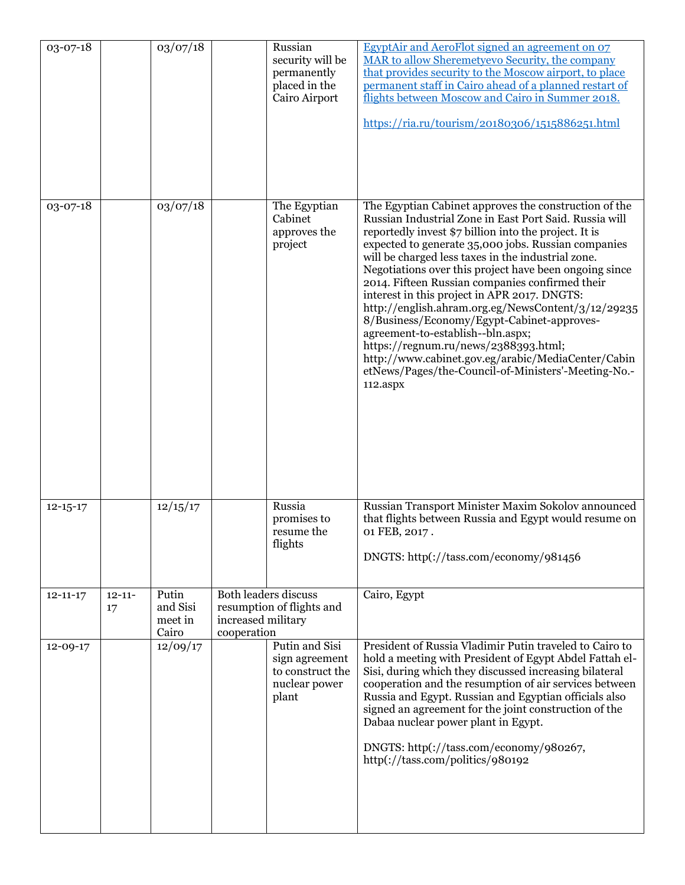| 03-07-18       |                   | 03/07/18                              |                                   | Russian<br>security will be<br>permanently<br>placed in the<br>Cairo Airport   | EgyptAir and AeroFlot signed an agreement on 07<br>MAR to allow Sheremetyevo Security, the company<br>that provides security to the Moscow airport, to place<br>permanent staff in Cairo ahead of a planned restart of<br>flights between Moscow and Cairo in Summer 2018.<br>https://ria.ru/tourism/20180306/1515886251.html                                                                                                                                                                                                                                                                                                                                                                                                                                |
|----------------|-------------------|---------------------------------------|-----------------------------------|--------------------------------------------------------------------------------|--------------------------------------------------------------------------------------------------------------------------------------------------------------------------------------------------------------------------------------------------------------------------------------------------------------------------------------------------------------------------------------------------------------------------------------------------------------------------------------------------------------------------------------------------------------------------------------------------------------------------------------------------------------------------------------------------------------------------------------------------------------|
| 03-07-18       |                   | 03/07/18                              |                                   | The Egyptian<br>Cabinet<br>approves the<br>project                             | The Egyptian Cabinet approves the construction of the<br>Russian Industrial Zone in East Port Said. Russia will<br>reportedly invest \$7 billion into the project. It is<br>expected to generate 35,000 jobs. Russian companies<br>will be charged less taxes in the industrial zone.<br>Negotiations over this project have been ongoing since<br>2014. Fifteen Russian companies confirmed their<br>interest in this project in APR 2017. DNGTS:<br>http://english.ahram.org.eg/NewsContent/3/12/29235<br>8/Business/Economy/Egypt-Cabinet-approves-<br>agreement-to-establish--bln.aspx;<br>https://regnum.ru/news/2388393.html;<br>http://www.cabinet.gov.eg/arabic/MediaCenter/Cabin<br>etNews/Pages/the-Council-of-Ministers'-Meeting-No.-<br>112.aspx |
| $12 - 15 - 17$ |                   | 12/15/17                              |                                   | Russia<br>promises to<br>resume the<br>flights                                 | Russian Transport Minister Maxim Sokolov announced<br>that flights between Russia and Egypt would resume on<br>01 FEB, 2017.<br>DNGTS: http(://tass.com/economy/981456                                                                                                                                                                                                                                                                                                                                                                                                                                                                                                                                                                                       |
| $12 - 11 - 17$ | $12 - 11 -$<br>17 | Putin<br>and Sisi<br>meet in<br>Cairo | increased military<br>cooperation | <b>Both leaders discuss</b><br>resumption of flights and                       | Cairo, Egypt                                                                                                                                                                                                                                                                                                                                                                                                                                                                                                                                                                                                                                                                                                                                                 |
| 12-09-17       |                   | 12/09/17                              |                                   | Putin and Sisi<br>sign agreement<br>to construct the<br>nuclear power<br>plant | President of Russia Vladimir Putin traveled to Cairo to<br>hold a meeting with President of Egypt Abdel Fattah el-<br>Sisi, during which they discussed increasing bilateral<br>cooperation and the resumption of air services between<br>Russia and Egypt. Russian and Egyptian officials also<br>signed an agreement for the joint construction of the<br>Dabaa nuclear power plant in Egypt.<br>DNGTS: http(://tass.com/economy/980267,<br>http(://tass.com/politics/980192                                                                                                                                                                                                                                                                               |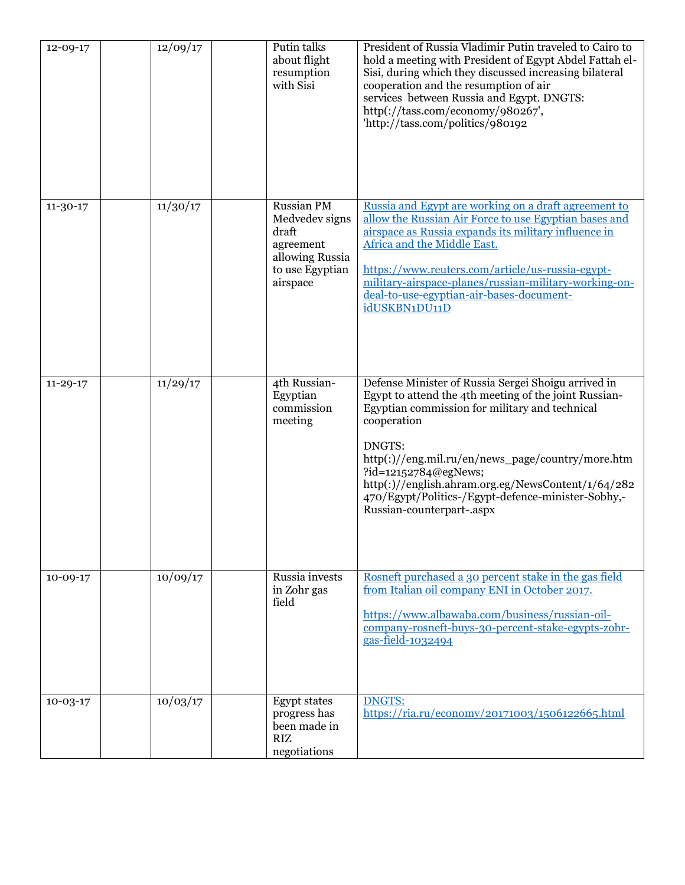| $12 - 09 - 17$ | 12/09/17 | Putin talks<br>about flight<br>resumption<br>with Sisi                                               | President of Russia Vladimir Putin traveled to Cairo to<br>hold a meeting with President of Egypt Abdel Fattah el-<br>Sisi, during which they discussed increasing bilateral<br>cooperation and the resumption of air<br>services between Russia and Egypt. DNGTS:<br>http(://tass.com/economy/980267',<br>'http://tass.com/politics/980192                                                                   |
|----------------|----------|------------------------------------------------------------------------------------------------------|---------------------------------------------------------------------------------------------------------------------------------------------------------------------------------------------------------------------------------------------------------------------------------------------------------------------------------------------------------------------------------------------------------------|
| $11 - 30 - 17$ | 11/30/17 | Russian PM<br>Medvedev signs<br>draft<br>agreement<br>allowing Russia<br>to use Egyptian<br>airspace | Russia and Egypt are working on a draft agreement to<br>allow the Russian Air Force to use Egyptian bases and<br>airspace as Russia expands its military influence in<br>Africa and the Middle East.<br>https://www.reuters.com/article/us-russia-egypt-<br>military-airspace-planes/russian-military-working-on-<br>deal-to-use-egyptian-air-bases-document-<br>idUSKBN1DU11D                                |
| $11 - 29 - 17$ | 11/29/17 | 4th Russian-<br>Egyptian<br>commission<br>meeting                                                    | Defense Minister of Russia Sergei Shoigu arrived in<br>Egypt to attend the 4th meeting of the joint Russian-<br>Egyptian commission for military and technical<br>cooperation<br>DNGTS:<br>http(:)//eng.mil.ru/en/news_page/country/more.htm<br>?id=12152784@egNews;<br>http(:)//english.ahram.org.eg/NewsContent/1/64/282<br>470/Egypt/Politics-/Egypt-defence-minister-Sobhy,-<br>Russian-counterpart-.aspx |
| $10-09-17$     | 10/09/17 | Russia invests<br>in Zohr gas<br>field                                                               | Rosneft purchased a 30 percent stake in the gas field<br>from Italian oil company ENI in October 2017.<br>https://www.albawaba.com/business/russian-oil-<br>company-rosneft-buys-30-percent-stake-egypts-zohr-<br>gas-field-1032494                                                                                                                                                                           |
| $10 - 03 - 17$ | 10/03/17 | <b>Egypt states</b><br>progress has<br>been made in<br><b>RIZ</b><br>negotiations                    | <b>DNGTS:</b><br>https://ria.ru/economy/20171003/1506122665.html                                                                                                                                                                                                                                                                                                                                              |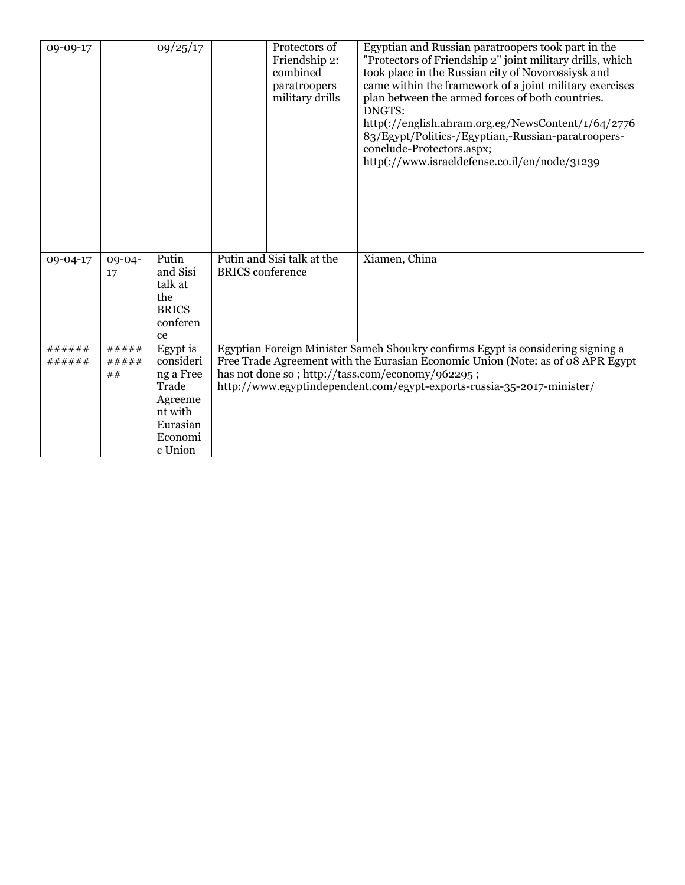| 09-09-17         |                      | 09/25/17                                                                                            |                                                       | Protectors of<br>Friendship 2:<br>combined<br>paratroopers<br>military drills | Egyptian and Russian paratroopers took part in the<br>"Protectors of Friendship 2" joint military drills, which<br>took place in the Russian city of Novorossiysk and<br>came within the framework of a joint military exercises<br>plan between the armed forces of both countries.<br>DNGTS:<br>http(://english.ahram.org.eg/NewsContent/1/64/2776<br>83/Egypt/Politics-/Egyptian,-Russian-paratroopers-<br>conclude-Protectors.aspx;<br>http(://www.israeldefense.co.il/en/node/31239 |
|------------------|----------------------|-----------------------------------------------------------------------------------------------------|-------------------------------------------------------|-------------------------------------------------------------------------------|------------------------------------------------------------------------------------------------------------------------------------------------------------------------------------------------------------------------------------------------------------------------------------------------------------------------------------------------------------------------------------------------------------------------------------------------------------------------------------------|
| 09-04-17         | $09 - 04 -$<br>17    | Putin<br>and Sisi<br>talk at<br>the<br><b>BRICS</b><br>conferen<br>ce                               | Putin and Sisi talk at the<br><b>BRICS</b> conference |                                                                               | Xiamen, China                                                                                                                                                                                                                                                                                                                                                                                                                                                                            |
| ######<br>###### | #####<br>#####<br>## | Egypt is<br>consideri<br>ng a Free<br>Trade<br>Agreeme<br>nt with<br>Eurasian<br>Economi<br>c Union |                                                       |                                                                               | Egyptian Foreign Minister Sameh Shoukry confirms Egypt is considering signing a<br>Free Trade Agreement with the Eurasian Economic Union (Note: as of 08 APR Egypt<br>has not done so; http://tass.com/economy/962295;<br>http://www.egyptindependent.com/egypt-exports-russia-35-2017-minister/                                                                                                                                                                                         |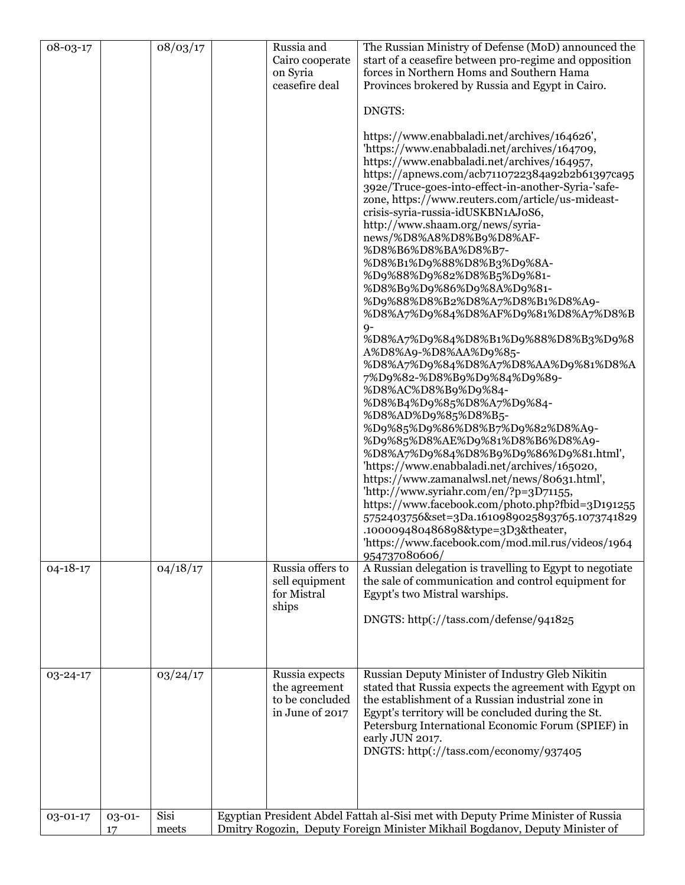| 08-03-17       |              | $\frac{1}{08}/03/17$ | Russia and<br>Cairo cooperate<br>on Syria<br>ceasefire deal           | The Russian Ministry of Defense (MoD) announced the<br>start of a ceasefire between pro-regime and opposition<br>forces in Northern Homs and Southern Hama<br>Provinces brokered by Russia and Egypt in Cairo.<br>DNGTS:<br>https://www.enabbaladi.net/archives/164626',<br>'https://www.enabbaladi.net/archives/164709,<br>https://www.enabbaladi.net/archives/164957,<br>https://apnews.com/acb7110722384a92b2b61397ca95<br>392e/Truce-goes-into-effect-in-another-Syria-'safe-<br>zone, https://www.reuters.com/article/us-mideast-<br>crisis-syria-russia-idUSKBN1AJ0S6,<br>http://www.shaam.org/news/syria-<br>news/%D8%A8%D8%B9%D8%AF-<br>%D8%B6%D8%BA%D8%B7-<br>%D8%B1%D9%88%D8%B3%D9%8A-<br>%D9%88%D9%82%D8%B5%D9%81-<br>%D8%B9%D9%86%D9%8A%D9%81-<br>%D9%88%D8%B2%D8%A7%D8%B1%D8%A9-<br>%D8%A7%D9%84%D8%AF%D9%81%D8%A7%D8%B<br>$9-$<br>%D8%A7%D9%84%D8%B1%D9%88%D8%B3%D9%8<br>A%D8%A9-%D8%AA%D9%85-<br>%D8%A7%D9%84%D8%A7%D8%AA%D9%81%D8%A<br>7%D9%82-%D8%B9%D9%84%D9%89-<br>%D8%AC%D8%B9%D9%84-<br>%D8%B4%D9%85%D8%A7%D9%84-<br>%D8%AD%D9%85%D8%B5-<br>%D9%85%D9%86%D8%B7%D9%82%D8%A9-<br>%D9%85%D8%AE%D9%81%D8%B6%D8%A9-<br>%D8%A7%D9%84%D8%B9%D9%86%D9%81.html',<br>'https://www.enabbaladi.net/archives/165020,<br>https://www.zamanalwsl.net/news/80631.html',<br>'http://www.syriahr.com/en/?p=3D71155,<br>https://www.facebook.com/photo.php?fbid=3D191255<br>5752403756&set=3Da.1610989025893765.1073741829<br>.100009480486898&type=3D3&theater,<br>'https://www.facebook.com/mod.mil.rus/videos/1964 |
|----------------|--------------|----------------------|-----------------------------------------------------------------------|-------------------------------------------------------------------------------------------------------------------------------------------------------------------------------------------------------------------------------------------------------------------------------------------------------------------------------------------------------------------------------------------------------------------------------------------------------------------------------------------------------------------------------------------------------------------------------------------------------------------------------------------------------------------------------------------------------------------------------------------------------------------------------------------------------------------------------------------------------------------------------------------------------------------------------------------------------------------------------------------------------------------------------------------------------------------------------------------------------------------------------------------------------------------------------------------------------------------------------------------------------------------------------------------------------------------------------------------------------------------------------------------------------------------------------------------------------------------------------------------------------------------------|
| $04 - 18 - 17$ |              | 04/18/17             | Russia offers to<br>sell equipment<br>for Mistral<br>ships            | 954737080606/<br>A Russian delegation is travelling to Egypt to negotiate<br>the sale of communication and control equipment for<br>Egypt's two Mistral warships.<br>DNGTS: http(://tass.com/defense/941825                                                                                                                                                                                                                                                                                                                                                                                                                                                                                                                                                                                                                                                                                                                                                                                                                                                                                                                                                                                                                                                                                                                                                                                                                                                                                                             |
| 03-24-17       |              | 03/24/17             | Russia expects<br>the agreement<br>to be concluded<br>in June of 2017 | Russian Deputy Minister of Industry Gleb Nikitin<br>stated that Russia expects the agreement with Egypt on<br>the establishment of a Russian industrial zone in<br>Egypt's territory will be concluded during the St.<br>Petersburg International Economic Forum (SPIEF) in<br>early JUN 2017.<br>DNGTS: http(://tass.com/economy/937405                                                                                                                                                                                                                                                                                                                                                                                                                                                                                                                                                                                                                                                                                                                                                                                                                                                                                                                                                                                                                                                                                                                                                                                |
| 03-01-17       | 03-01-<br>17 | Sisi<br>meets        |                                                                       | Egyptian President Abdel Fattah al-Sisi met with Deputy Prime Minister of Russia<br>Dmitry Rogozin, Deputy Foreign Minister Mikhail Bogdanov, Deputy Minister of                                                                                                                                                                                                                                                                                                                                                                                                                                                                                                                                                                                                                                                                                                                                                                                                                                                                                                                                                                                                                                                                                                                                                                                                                                                                                                                                                        |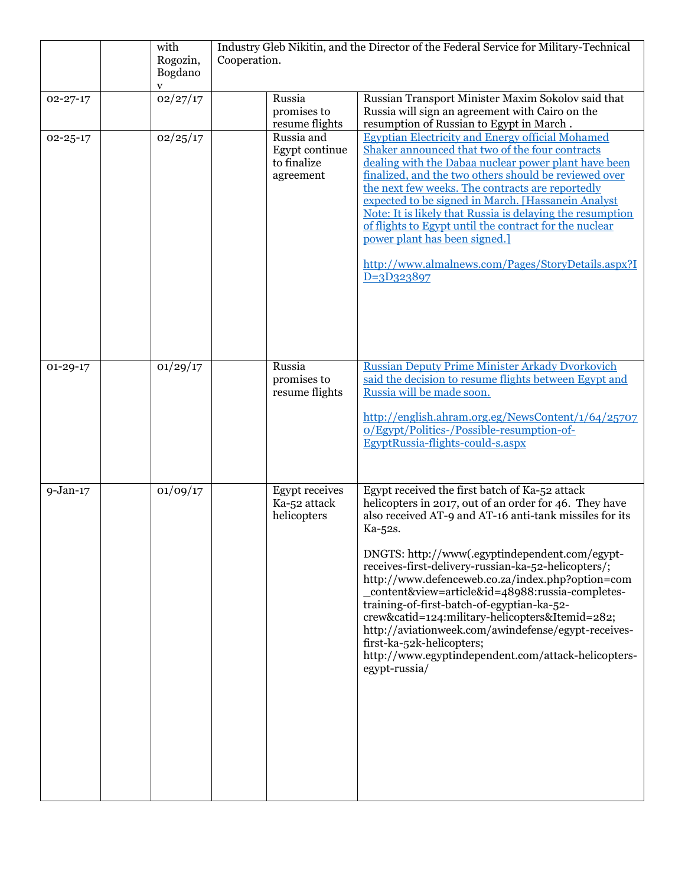|                | with<br>Rogozin,<br>Bogdano | Industry Gleb Nikitin, and the Director of the Federal Service for Military-Technical<br>Cooperation. |                                                          |                                                                                                                                                                                                                                                                                                                                                                                                                                                                                                                                                                                                                                                              |
|----------------|-----------------------------|-------------------------------------------------------------------------------------------------------|----------------------------------------------------------|--------------------------------------------------------------------------------------------------------------------------------------------------------------------------------------------------------------------------------------------------------------------------------------------------------------------------------------------------------------------------------------------------------------------------------------------------------------------------------------------------------------------------------------------------------------------------------------------------------------------------------------------------------------|
|                | V                           |                                                                                                       |                                                          |                                                                                                                                                                                                                                                                                                                                                                                                                                                                                                                                                                                                                                                              |
| $02 - 27 - 17$ | 02/27/17                    |                                                                                                       | Russia<br>promises to<br>resume flights                  | Russian Transport Minister Maxim Sokolov said that<br>Russia will sign an agreement with Cairo on the<br>resumption of Russian to Egypt in March.                                                                                                                                                                                                                                                                                                                                                                                                                                                                                                            |
| $02 - 25 - 17$ | 02/25/17                    |                                                                                                       | Russia and<br>Egypt continue<br>to finalize<br>agreement | <b>Egyptian Electricity and Energy official Mohamed</b><br>Shaker announced that two of the four contracts<br>dealing with the Dabaa nuclear power plant have been<br>finalized, and the two others should be reviewed over<br>the next few weeks. The contracts are reportedly<br>expected to be signed in March. [Hassanein Analyst<br>Note: It is likely that Russia is delaying the resumption<br>of flights to Egypt until the contract for the nuclear<br>power plant has been signed.]<br>http://www.almalnews.com/Pages/StoryDetails.aspx?I<br>$D=3D323897$                                                                                          |
| $01 - 29 - 17$ | 01/29/17                    |                                                                                                       | Russia<br>promises to<br>resume flights                  | <b>Russian Deputy Prime Minister Arkady Dvorkovich</b><br>said the decision to resume flights between Egypt and<br>Russia will be made soon.<br>http://english.ahram.org.eg/NewsContent/1/64/25707<br>o/Egypt/Politics-/Possible-resumption-of-<br>EgyptRussia-flights-could-s.aspx                                                                                                                                                                                                                                                                                                                                                                          |
| $9-Jan-17$     | 01/09/17                    |                                                                                                       | <b>Egypt</b> receives<br>Ka-52 attack<br>helicopters     | Egypt received the first batch of Ka-52 attack<br>helicopters in 2017, out of an order for 46. They have<br>also received AT-9 and AT-16 anti-tank missiles for its<br>Ka-52s.<br>DNGTS: http://www(.egyptindependent.com/egypt-<br>receives-first-delivery-russian-ka-52-helicopters/;<br>http://www.defenceweb.co.za/index.php?option=com<br>_content&view=article&id=48988:russia-completes-<br>training-of-first-batch-of-egyptian-ka-52-<br>crew&catid=124:military-helicopters&Itemid=282;<br>http://aviationweek.com/awindefense/egypt-receives-<br>first-ka-52k-helicopters;<br>http://www.egyptindependent.com/attack-helicopters-<br>egypt-russia/ |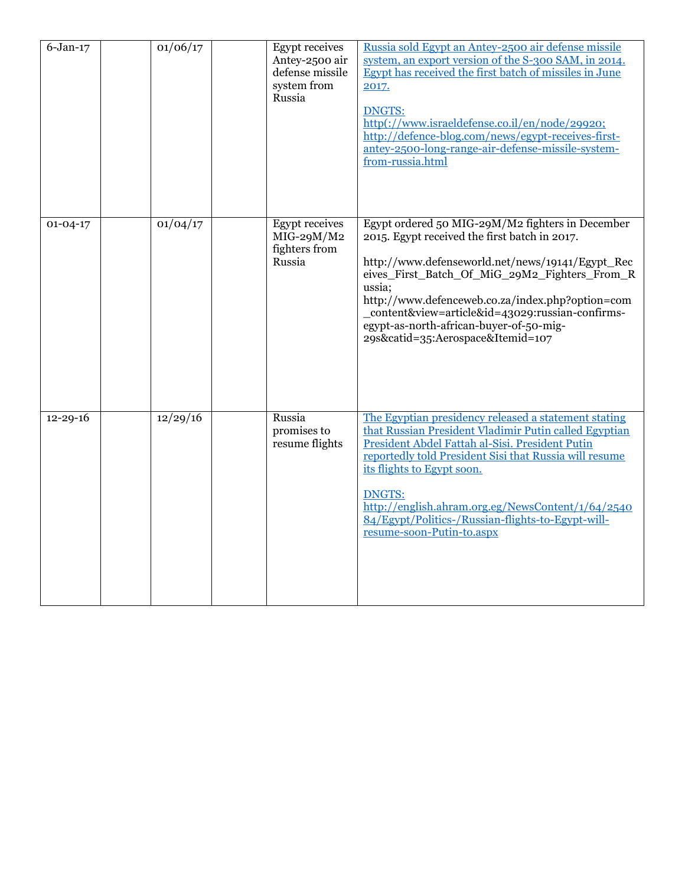| $6$ -Jan-17    | 01/06/17 | <b>Egypt</b> receives<br>Antey-2500 air<br>defense missile<br>system from<br>Russia | Russia sold Egypt an Antey-2500 air defense missile<br>system, an export version of the S-300 SAM, in 2014.<br>Egypt has received the first batch of missiles in June<br>2017.<br><b>DNGTS:</b><br>http(://www.israeldefense.co.il/en/node/29920;<br>http://defence-blog.com/news/egypt-receives-first-<br>antey-2500-long-range-air-defense-missile-system-<br>from-russia.html                                 |
|----------------|----------|-------------------------------------------------------------------------------------|------------------------------------------------------------------------------------------------------------------------------------------------------------------------------------------------------------------------------------------------------------------------------------------------------------------------------------------------------------------------------------------------------------------|
| $01 - 04 - 17$ | 01/04/17 | <b>Egypt</b> receives<br>$MIG-29M/M2$<br>fighters from<br>Russia                    | Egypt ordered 50 MIG-29M/M2 fighters in December<br>2015. Egypt received the first batch in 2017.<br>http://www.defenseworld.net/news/19141/Egypt_Rec<br>eives_First_Batch_Of_MiG_29M2_Fighters_From_R<br>ussia:<br>http://www.defenceweb.co.za/index.php?option=com<br>_content&view=article&id=43029:russian-confirms-<br>egypt-as-north-african-buyer-of-50-mig-<br>29s&catid=35:Aerospace&Itemid=107         |
| $12 - 29 - 16$ | 12/29/16 | Russia<br>promises to<br>resume flights                                             | The Egyptian presidency released a statement stating<br>that Russian President Vladimir Putin called Egyptian<br>President Abdel Fattah al-Sisi. President Putin<br>reportedly told President Sisi that Russia will resume<br>its flights to Egypt soon.<br><b>DNGTS:</b><br>http://english.ahram.org.eg/NewsContent/1/64/2540<br>84/Egypt/Politics-/Russian-flights-to-Egypt-will-<br>resume-soon-Putin-to.aspx |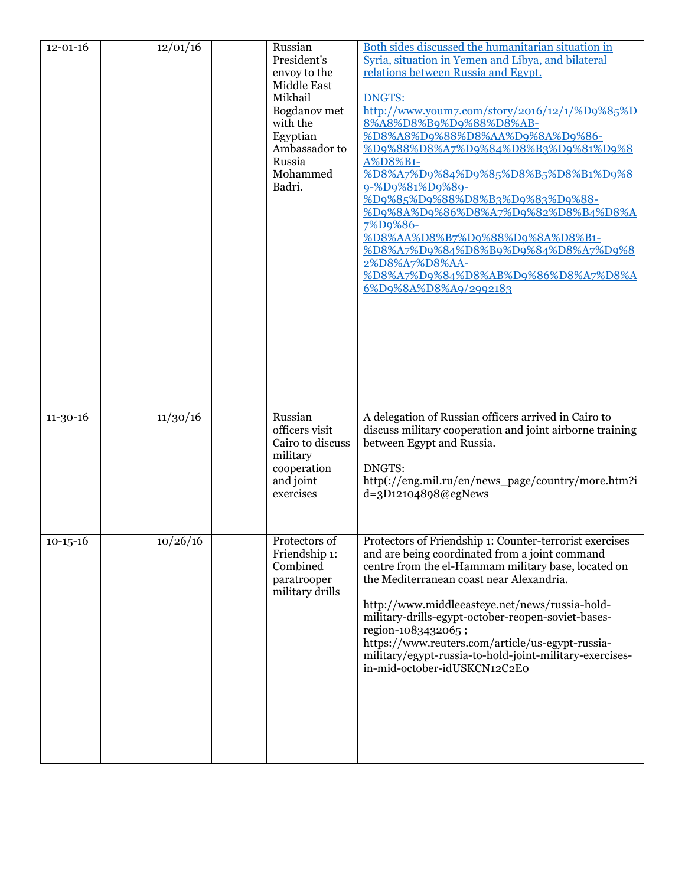| $12 - 01 - 16$ | 12/01/16 | Russian<br>President's<br>envoy to the<br>Middle East<br>Mikhail<br>Bogdanov met<br>with the<br>Egyptian<br>Ambassador to<br>Russia<br>Mohammed<br>Badri. | Both sides discussed the humanitarian situation in<br>Syria, situation in Yemen and Libya, and bilateral<br>relations between Russia and Egypt.<br><b>DNGTS:</b><br>http://www.youm7.com/story/2016/12/1/%D9%85%D<br>8%A8%D8%B9%D9%88%D8%AB-<br>%D8%A8%D9%88%D8%AA%D9%8A%D9%86-<br>%D9%88%D8%A7%D9%84%D8%B3%D9%81%D9%8<br>A%D8%B1-<br>%D8%A7%D9%84%D9%85%D8%B5%D8%B1%D9%8<br>9-%D9%81%D9%89-<br>%D9%85%D9%88%D8%B3%D9%83%D9%88-<br>%D9%8A%D9%86%D8%A7%D9%82%D8%B4%D8%A<br>7%D9%86-<br><u>%D8%AA%D8%B7%D9%88%D9%8A%D8%B1-</u><br>%D8%A7%D9%84%D8%B9%D9%84%D8%A7%D9%8<br>2%D8%A7%D8%AA-<br>%D8%A7%D9%84%D8%AB%D9%86%D8%A7%D8%A<br>6%D9%8A%D8%A9/2992183 |
|----------------|----------|-----------------------------------------------------------------------------------------------------------------------------------------------------------|-------------------------------------------------------------------------------------------------------------------------------------------------------------------------------------------------------------------------------------------------------------------------------------------------------------------------------------------------------------------------------------------------------------------------------------------------------------------------------------------------------------------------------------------------------------------------------------------------------------------------------------------------------|
| $11 - 30 - 16$ | 11/30/16 | Russian<br>officers visit<br>Cairo to discuss<br>military<br>cooperation<br>and joint<br>exercises                                                        | A delegation of Russian officers arrived in Cairo to<br>discuss military cooperation and joint airborne training<br>between Egypt and Russia.<br>DNGTS:<br>http(://eng.mil.ru/en/news_page/country/more.htm?i<br>d=3D12104898@egNews                                                                                                                                                                                                                                                                                                                                                                                                                  |
| $10-15-16$     | 10/26/16 | Protectors of<br>Friendship 1:<br>Combined<br>paratrooper<br>military drills                                                                              | Protectors of Friendship 1: Counter-terrorist exercises<br>and are being coordinated from a joint command<br>centre from the el-Hammam military base, located on<br>the Mediterranean coast near Alexandria.<br>http://www.middleeasteye.net/news/russia-hold-<br>military-drills-egypt-october-reopen-soviet-bases-<br>region-1083432065;<br>https://www.reuters.com/article/us-egypt-russia-<br>military/egypt-russia-to-hold-joint-military-exercises-<br>in-mid-october-idUSKCN12C2E0                                                                                                                                                             |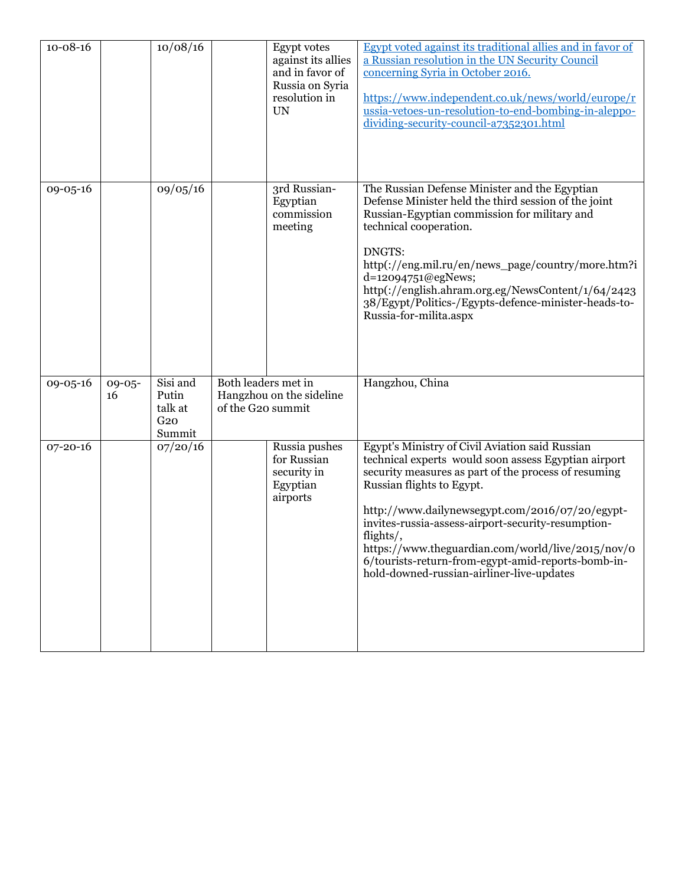| $10 - 08 - 16$ |                   | 10/08/16                                                  |                                          | <b>Egypt</b> votes<br>against its allies<br>and in favor of<br>Russia on Syria<br>resolution in<br><b>UN</b> | Egypt voted against its traditional allies and in favor of<br>a Russian resolution in the UN Security Council<br>concerning Syria in October 2016.<br>https://www.independent.co.uk/news/world/europe/r<br>ussia-vetoes-un-resolution-to-end-bombing-in-aleppo-<br>dividing-security-council-a7352301.html                                                                                                                                                                 |
|----------------|-------------------|-----------------------------------------------------------|------------------------------------------|--------------------------------------------------------------------------------------------------------------|----------------------------------------------------------------------------------------------------------------------------------------------------------------------------------------------------------------------------------------------------------------------------------------------------------------------------------------------------------------------------------------------------------------------------------------------------------------------------|
| 09-05-16       |                   | 09/05/16                                                  |                                          | 3rd Russian-<br>Egyptian<br>commission<br>meeting                                                            | The Russian Defense Minister and the Egyptian<br>Defense Minister held the third session of the joint<br>Russian-Egyptian commission for military and<br>technical cooperation.<br>DNGTS:<br>http(://eng.mil.ru/en/news_page/country/more.htm?i<br>d=12094751@egNews;<br>http(://english.ahram.org.eg/NewsContent/1/64/2423<br>38/Egypt/Politics-/Egypts-defence-minister-heads-to-<br>Russia-for-milita.aspx                                                              |
| 09-05-16       | $09 - 05 -$<br>16 | Sisi and<br>Putin<br>talk at<br>G <sub>20</sub><br>Summit | Both leaders met in<br>of the G20 summit | Hangzhou on the sideline                                                                                     | Hangzhou, China                                                                                                                                                                                                                                                                                                                                                                                                                                                            |
| $07 - 20 - 16$ |                   | 07/20/16                                                  |                                          | Russia pushes<br>for Russian<br>security in<br>Egyptian<br>airports                                          | Egypt's Ministry of Civil Aviation said Russian<br>technical experts would soon assess Egyptian airport<br>security measures as part of the process of resuming<br>Russian flights to Egypt.<br>http://www.dailynewsegypt.com/2016/07/20/egypt-<br>invites-russia-assess-airport-security-resumption-<br>flights/,<br>https://www.theguardian.com/world/live/2015/nov/0<br>6/tourists-return-from-egypt-amid-reports-bomb-in-<br>hold-downed-russian-airliner-live-updates |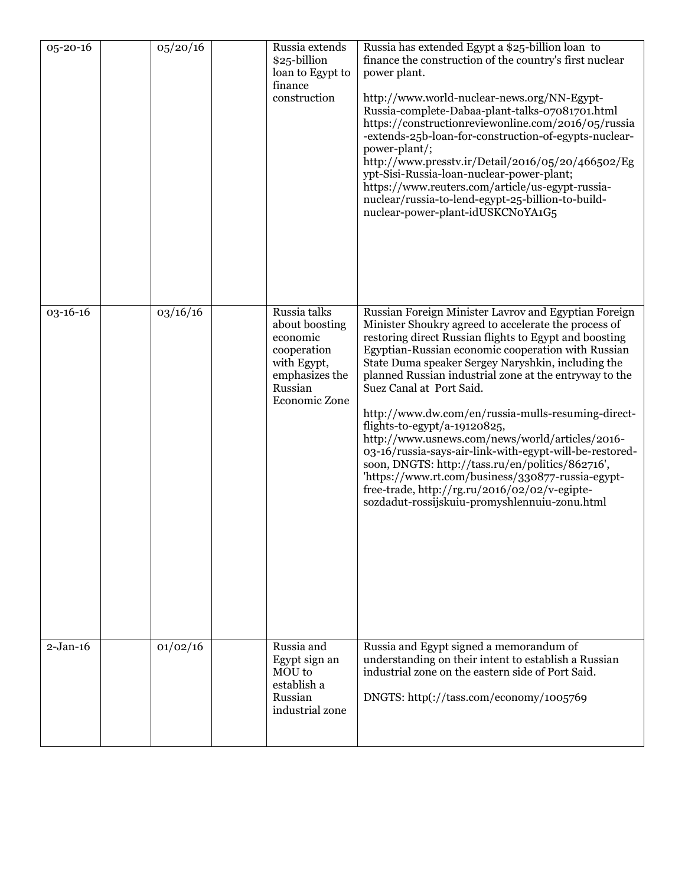| 05-20-16   | 05/20/16 | Russia extends<br>\$25-billion<br>loan to Egypt to<br>finance<br>construction                                          | Russia has extended Egypt a \$25-billion loan to<br>finance the construction of the country's first nuclear<br>power plant.<br>http://www.world-nuclear-news.org/NN-Egypt-<br>Russia-complete-Dabaa-plant-talks-07081701.html<br>https://constructionreviewonline.com/2016/05/russia<br>-extends-25b-loan-for-construction-of-egypts-nuclear-<br>power-plant/;<br>http://www.presstv.ir/Detail/2016/05/20/466502/Eg<br>ypt-Sisi-Russia-loan-nuclear-power-plant;<br>https://www.reuters.com/article/us-egypt-russia-<br>nuclear/russia-to-lend-egypt-25-billion-to-build-<br>nuclear-power-plant-idUSKCNoYA1G5                                                                                                                                                                          |
|------------|----------|------------------------------------------------------------------------------------------------------------------------|-----------------------------------------------------------------------------------------------------------------------------------------------------------------------------------------------------------------------------------------------------------------------------------------------------------------------------------------------------------------------------------------------------------------------------------------------------------------------------------------------------------------------------------------------------------------------------------------------------------------------------------------------------------------------------------------------------------------------------------------------------------------------------------------|
| 03-16-16   | 03/16/16 | Russia talks<br>about boosting<br>economic<br>cooperation<br>with Egypt,<br>emphasizes the<br>Russian<br>Economic Zone | Russian Foreign Minister Lavrov and Egyptian Foreign<br>Minister Shoukry agreed to accelerate the process of<br>restoring direct Russian flights to Egypt and boosting<br>Egyptian-Russian economic cooperation with Russian<br>State Duma speaker Sergey Naryshkin, including the<br>planned Russian industrial zone at the entryway to the<br>Suez Canal at Port Said.<br>http://www.dw.com/en/russia-mulls-resuming-direct-<br>flights-to-egypt/a-19120825,<br>http://www.usnews.com/news/world/articles/2016-<br>03-16/russia-says-air-link-with-egypt-will-be-restored-<br>soon, DNGTS: http://tass.ru/en/politics/862716',<br>'https://www.rt.com/business/330877-russia-egypt-<br>free-trade, http://rg.ru/2016/02/02/v-egipte-<br>sozdadut-rossijskuiu-promyshlennuiu-zonu.html |
| $2-Jan-16$ | 01/02/16 | Russia and<br>Egypt sign an<br>MOU to<br>establish a<br>Russian<br>industrial zone                                     | Russia and Egypt signed a memorandum of<br>understanding on their intent to establish a Russian<br>industrial zone on the eastern side of Port Said.<br>DNGTS: http(://tass.com/economy/1005769                                                                                                                                                                                                                                                                                                                                                                                                                                                                                                                                                                                         |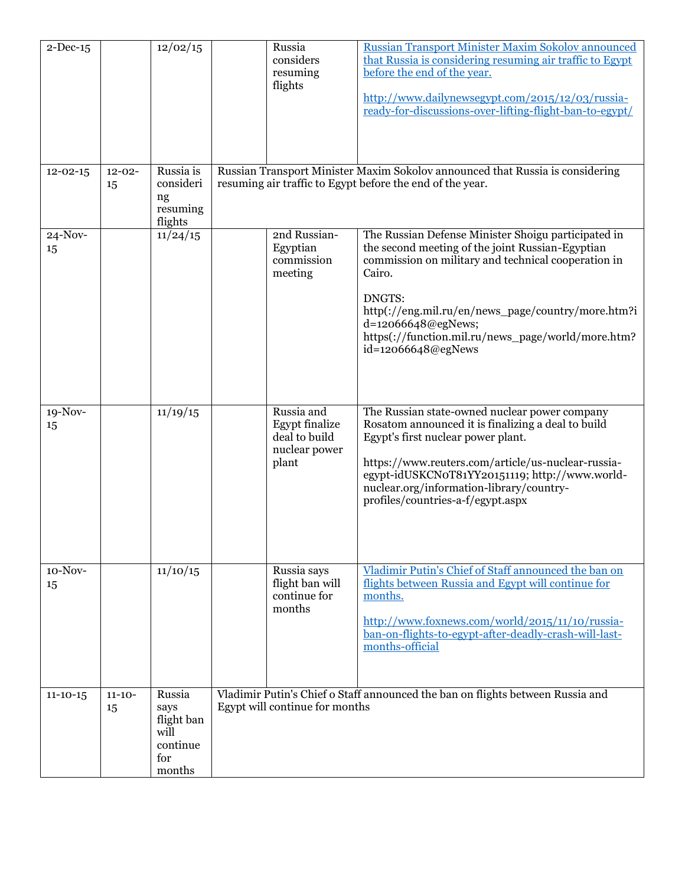| $2$ -Dec-15    |                   | 12/02/15                                                          | Russia<br>considers<br>resuming<br>flights                              | Russian Transport Minister Maxim Sokolov announced<br>that Russia is considering resuming air traffic to Egypt<br>before the end of the year.<br>http://www.dailynewsegypt.com/2015/12/03/russia-<br>ready-for-discussions-over-lifting-flight-ban-to-egypt/                                                                               |
|----------------|-------------------|-------------------------------------------------------------------|-------------------------------------------------------------------------|--------------------------------------------------------------------------------------------------------------------------------------------------------------------------------------------------------------------------------------------------------------------------------------------------------------------------------------------|
| $12 - 02 - 15$ | $12 - 02 -$<br>15 | Russia is<br>consideri<br>ng<br>resuming<br>flights               |                                                                         | Russian Transport Minister Maxim Sokolov announced that Russia is considering<br>resuming air traffic to Egypt before the end of the year.                                                                                                                                                                                                 |
| 24-Nov-<br>15  |                   | 11/24/15                                                          | 2nd Russian-<br>Egyptian<br>commission<br>meeting                       | The Russian Defense Minister Shoigu participated in<br>the second meeting of the joint Russian-Egyptian<br>commission on military and technical cooperation in<br>Cairo.<br>DNGTS:<br>http(://eng.mil.ru/en/news_page/country/more.htm?i<br>d=12066648@egNews;<br>https(://function.mil.ru/news_page/world/more.htm?<br>id=12066648@egNews |
| 19-Nov-<br>15  |                   | 11/19/15                                                          | Russia and<br>Egypt finalize<br>deal to build<br>nuclear power<br>plant | The Russian state-owned nuclear power company<br>Rosatom announced it is finalizing a deal to build<br>Egypt's first nuclear power plant.<br>https://www.reuters.com/article/us-nuclear-russia-<br>egypt-idUSKCN0T81YY20151119; http://www.world-<br>nuclear.org/information-library/country-<br>profiles/countries-a-f/egypt.aspx         |
| 10-Nov-<br>15  |                   | 11/10/15                                                          | Russia says<br>flight ban will<br>continue for<br>months                | Vladimir Putin's Chief of Staff announced the ban on<br>flights between Russia and Egypt will continue for<br>months.<br>http://www.foxnews.com/world/2015/11/10/russia-<br>ban-on-flights-to-egypt-after-deadly-crash-will-last-<br>months-official                                                                                       |
| $11 - 10 - 15$ | $11 - 10 -$<br>15 | Russia<br>says<br>flight ban<br>will<br>continue<br>for<br>months | Egypt will continue for months                                          | Vladimir Putin's Chief o Staff announced the ban on flights between Russia and                                                                                                                                                                                                                                                             |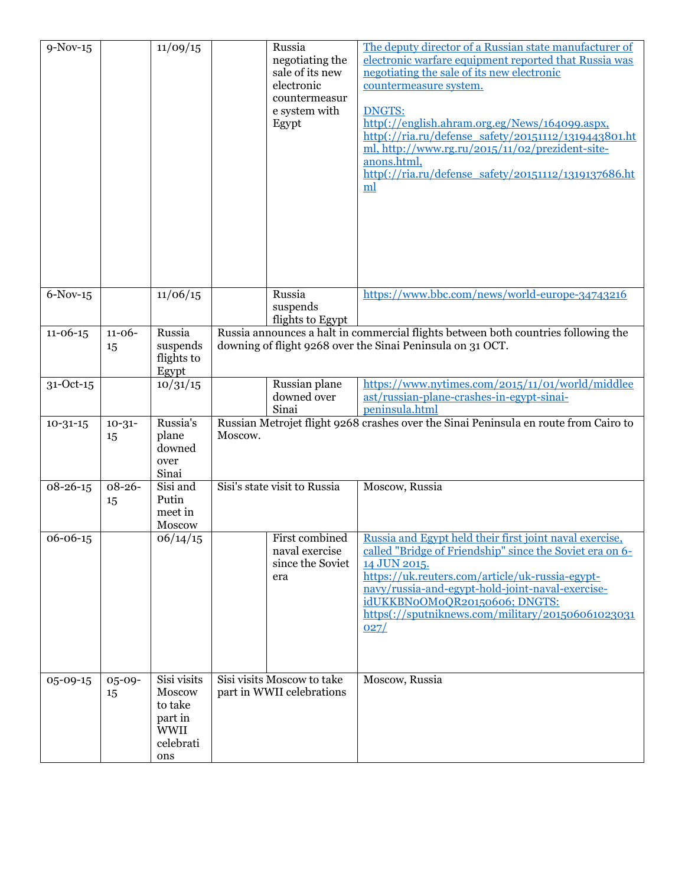| $9-Nov-15$     |                   | 11/09/15                                                                       |                              | Russia<br>negotiating the<br>sale of its new<br>electronic<br>countermeasur<br>e system with<br>Egypt | The deputy director of a Russian state manufacturer of<br>electronic warfare equipment reported that Russia was<br>negotiating the sale of its new electronic<br>countermeasure system.<br><b>DNGTS:</b><br>http(://english.ahram.org.eg/News/164099.aspx,<br>http(://ria.ru/defense_safety/20151112/1319443801.ht<br>ml, http://www.rg.ru/2015/11/02/prezident-site-<br>anons.html,<br>http(://ria.ru/defense_safety/20151112/1319137686.ht<br>ml |
|----------------|-------------------|--------------------------------------------------------------------------------|------------------------------|-------------------------------------------------------------------------------------------------------|----------------------------------------------------------------------------------------------------------------------------------------------------------------------------------------------------------------------------------------------------------------------------------------------------------------------------------------------------------------------------------------------------------------------------------------------------|
| $6-Nov-15$     |                   | 11/06/15                                                                       |                              | Russia<br>suspends<br>flights to Egypt                                                                | https://www.bbc.com/news/world-europe-34743216                                                                                                                                                                                                                                                                                                                                                                                                     |
| $11 - 06 - 15$ | $11 - 06 -$<br>15 | Russia<br>suspends<br>flights to<br>Egypt                                      |                              |                                                                                                       | Russia announces a halt in commercial flights between both countries following the<br>downing of flight 9268 over the Sinai Peninsula on 31 OCT.                                                                                                                                                                                                                                                                                                   |
| 31-Oct-15      |                   | 10/31/15                                                                       |                              | Russian plane<br>downed over<br>Sinai                                                                 | https://www.nytimes.com/2015/11/01/world/middlee<br>ast/russian-plane-crashes-in-egypt-sinai-<br>peninsula.html                                                                                                                                                                                                                                                                                                                                    |
| $10 - 31 - 15$ | $10 - 31 -$<br>15 | Russia's<br>plane<br>downed<br>over<br>Sinai                                   | Moscow.                      |                                                                                                       | Russian Metrojet flight 9268 crashes over the Sinai Peninsula en route from Cairo to                                                                                                                                                                                                                                                                                                                                                               |
| $08 - 26 - 15$ | $08 - 26 -$<br>15 | Sisi and<br>Putin<br>meet in<br>Moscow                                         | Sisi's state visit to Russia |                                                                                                       | Moscow, Russia                                                                                                                                                                                                                                                                                                                                                                                                                                     |
| 06-06-15       |                   | 06/14/15                                                                       |                              | First combined<br>naval exercise<br>since the Soviet<br>era                                           | Russia and Egypt held their first joint naval exercise,<br>called "Bridge of Friendship" since the Soviet era on 6-<br>14 JUN 2015.<br>https://uk.reuters.com/article/uk-russia-egypt-<br>navy/russia-and-egypt-hold-joint-naval-exercise-<br>idUKKBNoOMoQR20150606; DNGTS:<br>https(://sputniknews.com/military/201506061023031<br>027/                                                                                                           |
| 05-09-15       | $05 - 09 -$<br>15 | Sisi visits<br>Moscow<br>to take<br>part in<br><b>WWII</b><br>celebrati<br>ons | Sisi visits Moscow to take   | part in WWII celebrations                                                                             | Moscow, Russia                                                                                                                                                                                                                                                                                                                                                                                                                                     |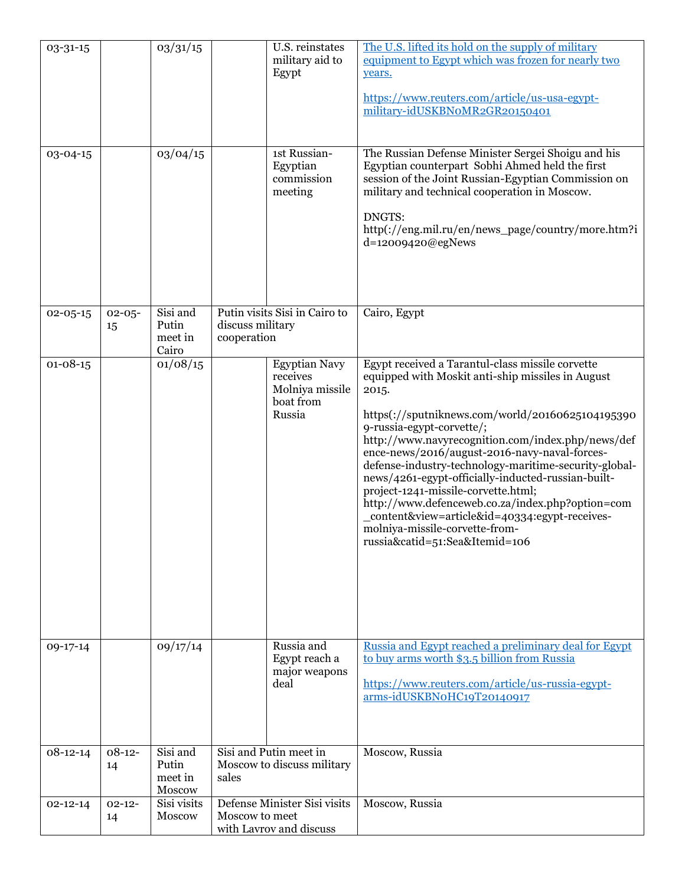| 03-31-15       |                   | 03/31/15                               |                                                                           | U.S. reinstates<br>military aid to<br>Egypt                                | The U.S. lifted its hold on the supply of military<br>equipment to Egypt which was frozen for nearly two<br>years.<br>https://www.reuters.com/article/us-usa-egypt-<br>military-idUSKBNoMR2GR20150401                                                                                                                                                                                                                                                                                                                                                                                                                                 |
|----------------|-------------------|----------------------------------------|---------------------------------------------------------------------------|----------------------------------------------------------------------------|---------------------------------------------------------------------------------------------------------------------------------------------------------------------------------------------------------------------------------------------------------------------------------------------------------------------------------------------------------------------------------------------------------------------------------------------------------------------------------------------------------------------------------------------------------------------------------------------------------------------------------------|
| 03-04-15       |                   | 03/04/15                               |                                                                           | 1st Russian-<br>Egyptian<br>commission<br>meeting                          | The Russian Defense Minister Sergei Shoigu and his<br>Egyptian counterpart Sobhi Ahmed held the first<br>session of the Joint Russian-Egyptian Commission on<br>military and technical cooperation in Moscow.<br>DNGTS:<br>http(://eng.mil.ru/en/news_page/country/more.htm?i<br>d=12009420@egNews                                                                                                                                                                                                                                                                                                                                    |
| $02 - 05 - 15$ | $02 - 05 -$<br>15 | Sisi and<br>Putin<br>meet in<br>Cairo  | Putin visits Sisi in Cairo to<br>discuss military<br>cooperation          |                                                                            | Cairo, Egypt                                                                                                                                                                                                                                                                                                                                                                                                                                                                                                                                                                                                                          |
| $01 - 08 - 15$ |                   | 01/08/15                               |                                                                           | <b>Egyptian Navy</b><br>receives<br>Molniya missile<br>boat from<br>Russia | Egypt received a Tarantul-class missile corvette<br>equipped with Moskit anti-ship missiles in August<br>2015.<br>https(://sputniknews.com/world/20160625104195390<br>9-russia-egypt-corvette/;<br>http://www.navyrecognition.com/index.php/news/def<br>ence-news/2016/august-2016-navy-naval-forces-<br>defense-industry-technology-maritime-security-global-<br>news/4261-egypt-officially-inducted-russian-built-<br>project-1241-missile-corvette.html;<br>http://www.defenceweb.co.za/index.php?option=com<br>_content&view=article&id=40334:egypt-receives-<br>molniya-missile-corvette-from-<br>russia&catid=51:Sea&Itemid=106 |
| 09-17-14       |                   | 09/17/14                               |                                                                           | Russia and<br>Egypt reach a<br>major weapons<br>deal                       | Russia and Egypt reached a preliminary deal for Egypt<br>to buy arms worth \$3.5 billion from Russia<br>https://www.reuters.com/article/us-russia-egypt-<br>arms-idUSKBNoHC19T20140917                                                                                                                                                                                                                                                                                                                                                                                                                                                |
| $08-12-14$     | $08-12-$<br>14    | Sisi and<br>Putin<br>meet in<br>Moscow | Sisi and Putin meet in<br>Moscow to discuss military<br>sales             |                                                                            | Moscow, Russia                                                                                                                                                                                                                                                                                                                                                                                                                                                                                                                                                                                                                        |
| $02 - 12 - 14$ | $02 - 12 -$<br>14 | Sisi visits<br>Moscow                  | Defense Minister Sisi visits<br>Moscow to meet<br>with Lavrov and discuss |                                                                            | Moscow, Russia                                                                                                                                                                                                                                                                                                                                                                                                                                                                                                                                                                                                                        |